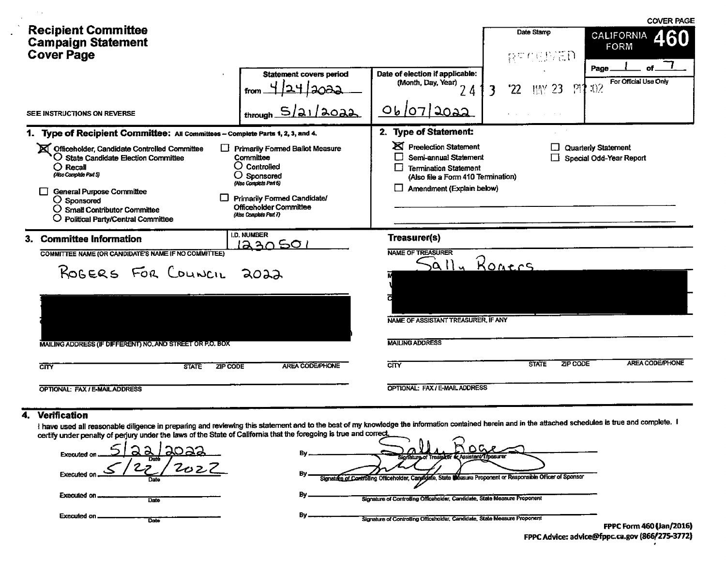|                                                                                                                                                                                                                                                                                                                                                    |                                                                                                                                                                                                     |                                                                                                                                                                                     |                               |                                | <b>COVER PAGE</b>                              |
|----------------------------------------------------------------------------------------------------------------------------------------------------------------------------------------------------------------------------------------------------------------------------------------------------------------------------------------------------|-----------------------------------------------------------------------------------------------------------------------------------------------------------------------------------------------------|-------------------------------------------------------------------------------------------------------------------------------------------------------------------------------------|-------------------------------|--------------------------------|------------------------------------------------|
| <b>Recipient Committee</b><br><b>Campaign Statement</b><br><b>Cover Page</b>                                                                                                                                                                                                                                                                       |                                                                                                                                                                                                     |                                                                                                                                                                                     | Date Stamp<br>RECENED         |                                | <b>CALIFORNIA</b><br>460<br><b>FORM</b>        |
|                                                                                                                                                                                                                                                                                                                                                    | <b>Statement covers period</b><br>from                                                                                                                                                              | Date of election if applicable:<br>(Month, Day, Year)<br>24                                                                                                                         | '22                           | <b>IMY 23</b><br>$\mathcal{V}$ | Page<br>For Official Use Only<br>32            |
| SEE INSTRUCTIONS ON REVERSE                                                                                                                                                                                                                                                                                                                        | ه 12023.<br>through.                                                                                                                                                                                | 06/07/2022                                                                                                                                                                          |                               |                                |                                                |
| 1. Type of Recipient Committee: All Committees - Complete Parts 1, 2, 3, and 4.<br>Officeholder, Candidate Controlled Committee<br>ΓŁ<br>O State Candidate Election Committee<br>$O$ Recall<br>(Also Complete Part 5)<br><b>General Purpose Committee</b><br>$O$ Sponsored<br>O Small Contributor Committee<br>O Political Party/Central Committee | <b>Primarily Formed Ballot Measure</b><br>Committee<br>$O$ Controlled<br>$O$ Sponsored<br>(Also Complete Part 6)<br>Primarily Formed Candidate/<br>Officeholder Committee<br>(Also Complete Part 7) | 2. Type of Statement:<br><b>X</b> Preelection Statement<br>Semi-annual Statement<br><b>Termination Statement</b><br>(Also file a Form 410 Termination)<br>Amendment (Explain below) |                               |                                | Quarterly Statement<br>Special Odd-Year Report |
| 3. Committee Information<br>COMMITTEE NAME (OR CANDIDATE'S NAME IF NO COMMITTEE)<br>ROGERS FOR COUNCIL<br>MAILING ADDRESS (IF DIFFERENT) NO, AND STREET OR P.O. BOX<br>$\overline{\text{cm}}$<br><b>ZIP CODE</b><br><b>STATE</b>                                                                                                                   | <b>I.D. NUMBER</b><br><u>1230501</u><br>2022<br><b>AREA CODE/PHONE</b>                                                                                                                              | Treasurer(s)<br><b>NAME OF TREASURER</b><br>Sally<br>NAME OF ASSISTANT TREASURER, IF ANY<br><b>MAILING ADDRESS</b><br>$\overline{\text{C} \text{ITY}}$                              | <u>Ronces</u><br><b>STATE</b> | ZIP CODE                       | <b>AREA CODE/PHONE</b>                         |
| OPTIONAL: FAX / E-MAIL ADDRESS                                                                                                                                                                                                                                                                                                                     |                                                                                                                                                                                                     | OPTIONAL: FAX / E-MAIL ADDRESS                                                                                                                                                      |                               |                                |                                                |

#### 4. Verification

 $\sim$   $\sim$ 

 $\sim$ 

 $\bullet$ 

I have used all reasonable diligence in preparing and reviewing this statement and to the best of my knowledge the information contained herein and in the attached schedules is true and complete. I<br>certify under penalty of

| <u>2022</u><br>Executed on<br>Date | Bv<br>Signature of Treasurer or Assistant Treasurer                                                                |                   |
|------------------------------------|--------------------------------------------------------------------------------------------------------------------|-------------------|
| Executed on<br>Date                | By<br>Signature of Controlling Officeholder, Canalyjafe, State Measure Proponent or Responsible Officer of Sponsor |                   |
| <b>Executed on </b><br>Date:       | By<br>Signature of Controlling Officeholder, Candidate, State Measure Proponent                                    |                   |
| <b>Executed on.</b><br>Date        | By<br>Signature of Controlling Officeholder, Candidate, State Measure Proponent                                    | FPPC Form 460 (Ja |

n/2016) FPPC Advice: advice@fppc.ca.gov (866/275-3772)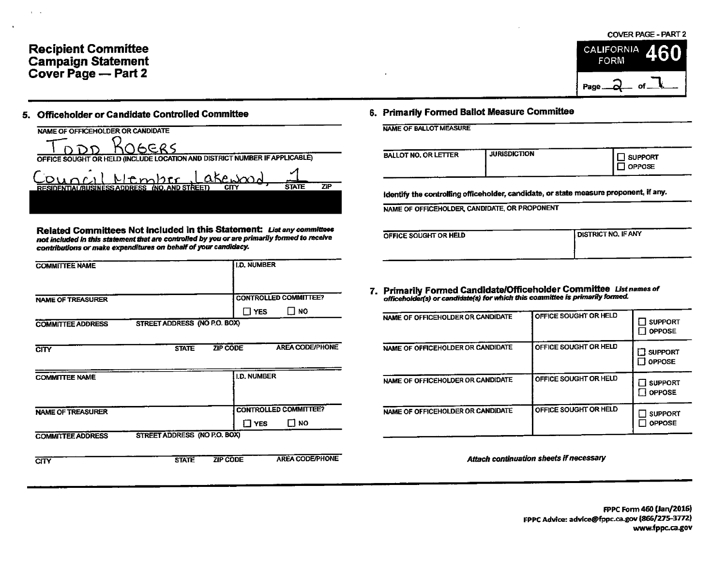### Recipient Committee **CALIFORNIA**<br>California California California California California California California California California California<br>California California California California California California California Ca **Campaign Statement** FORM **FORM** Cover Page -- Part 2

## 5. Officeholder or Candidate Controlled Committee S. Primarily Formed Ballot Measure Committee

NAME OF OFFICEHOLDER OR CANDIDATE DDD KOGERS OFFICE SOUGHT OR HELD (INCLUDE LOCATION AND DISTRICT NUMBER IF APPLICABLE) akewood Ntmbtr  $D$ un $r_A$ RESIDENTIAL/BUSINESS ADDRESS (NO. AND STREET) CITY 5TATE ZIP

Related Committees Not Included in this Statement: Listanycommittaos not included in this statement that are controlled by you or are primarily formed to receive  $\overline{O}$ contributions or make expenditures on behalf of your candidacy.

| <b>I.D. NUMBER</b>                                         |                                                                                                 |                       |                                                                                                                                                                                               |
|------------------------------------------------------------|-------------------------------------------------------------------------------------------------|-----------------------|-----------------------------------------------------------------------------------------------------------------------------------------------------------------------------------------------|
| <b>CONTROLLED COMMITTEE?</b><br>$\square$ NO<br>$\Box$ YES | NAME OF OFFICEHOLDER OR CANDIDATE                                                               | OFFICE SOUGHT OR HELD | $\prod$ support                                                                                                                                                                               |
| <b>AREA CODE/PHONE</b><br><b>ZIP CODE</b><br><b>STATE</b>  | NAME OF OFFICEHOLDER OR CANDIDATE                                                               | OFFICE SOUGHT OR HELD | $\Box$ OPPOSE<br>$\Box$ SUPPORT                                                                                                                                                               |
| <b>I.D. NUMBER</b>                                         | NAME OF OFFICEHOLDER OR CANDIDATE                                                               | OFFICE SOUGHT OR HELD | $\Box$ OPPOSE<br>$\Box$ SUPPORT<br>$\square$ OPPOSE                                                                                                                                           |
| <b>CONTROLLED COMMITTEE?</b><br>$\square$ NO<br>$\Box$ YES | NAME OF OFFICEHOLDER OR CANDIDATE                                                               | OFFICE SOUGHT OR HELD | $\Box$ support<br>$\Box$ OPPOSE                                                                                                                                                               |
| <b>AREA CODE/PHONE</b>                                     |                                                                                                 |                       |                                                                                                                                                                                               |
|                                                            | STREET ADDRESS (NO P.O. BOX)<br>STREET ADDRESS (NO P.O. BOX)<br><b>ZIP CODE</b><br><b>STATE</b> |                       | 7. Primarily Formed Candidate/Officeholder Committee Listnames of<br>officeholder(s) or candidate(s) for which this committee is primarily formed.<br>Attach continuation sheets if necessary |



| BALLOT NO. OR LETTER | <b>JURISDICTION</b> | <b>SUPPORT</b><br><b>OPPOSE</b> |
|----------------------|---------------------|---------------------------------|
|                      |                     | ----                            |

Identify the controlling officeholder, candidate, or state measure proponent, if any.

NAME OF OFFICEHOLDER, CANDIDATE, OR PROPONENT

| FFICE SOUGHT OR HELD | DISTRICT NO. IF ANY |
|----------------------|---------------------|
|                      |                     |
|                      |                     |

| YES<br>NU.                                      | NAME OF OFFICEHOLDER OR CANDIDATE | <b>OFFICE SOUGHT OR HELD</b> | <b>SUPPORT</b><br><b>OPPOSE</b><br>l 1 |
|-------------------------------------------------|-----------------------------------|------------------------------|----------------------------------------|
| <b>AREA CODE/PHONE</b>                          | NAME OF OFFICEHOLDER OR CANDIDATE | OFFICE SOUGHT OR HELD        | <b>□ SUPPORT</b><br>OPPOSE             |
| <b>JMBER</b>                                    | NAME OF OFFICEHOLDER OR CANDIDATE | OFFICE SOUGHT OR HELD        | <b>N</b> SUPPORT<br><b>N</b> OPPOSE    |
| <b>ROLLED COMMITTEE?</b><br>Г! но<br><b>YES</b> | NAME OF OFFICEHOLDER OR CANDIDATE | OFFICE SOUGHT OR HELD        | <b>SUPPORT</b><br><b>NOPPOSE</b>       |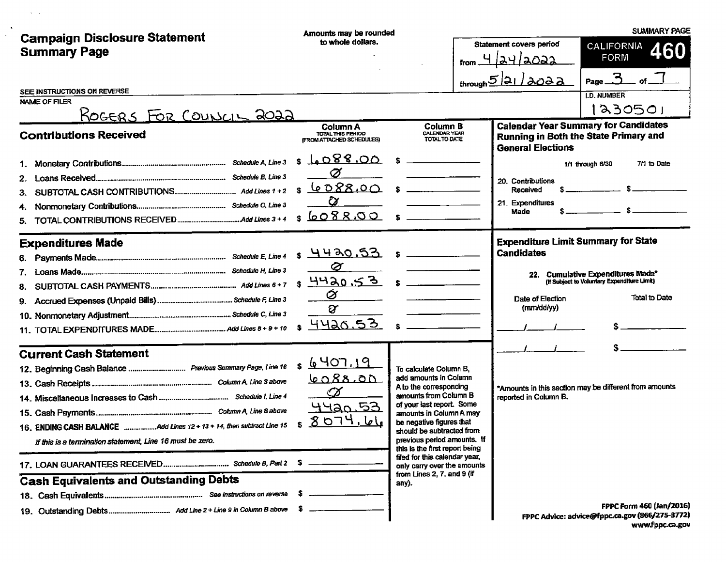|                                                                                                                                                          | Amounts may be rounded                                                               |                                                                                                                                                                                                                                                                                                                                                                                    |                                                           | <b>SUMMARY PAGE</b>                                                                                                                             |
|----------------------------------------------------------------------------------------------------------------------------------------------------------|--------------------------------------------------------------------------------------|------------------------------------------------------------------------------------------------------------------------------------------------------------------------------------------------------------------------------------------------------------------------------------------------------------------------------------------------------------------------------------|-----------------------------------------------------------|-------------------------------------------------------------------------------------------------------------------------------------------------|
| <b>Campaign Disclosure Statement</b><br><b>Summary Page</b>                                                                                              | to whole dollars.                                                                    |                                                                                                                                                                                                                                                                                                                                                                                    | Statement covers period<br>4 lay laoaa<br>from.           | <b>CALIFORNIA</b><br>460<br><b>FORM</b>                                                                                                         |
| SEE INSTRUCTIONS ON REVERSE<br>NAME OF FILER<br><u> KOGERS FOR COUNCIL 2022</u>                                                                          |                                                                                      |                                                                                                                                                                                                                                                                                                                                                                                    | $t$ hrough $5/21/3022$                                    | $Page_3$<br><b>I.D. NUMBER</b><br>230501                                                                                                        |
| <b>Contributions Received</b>                                                                                                                            | <b>Column A</b><br>TOTAL THIS PERIOD<br>(FROM ATTACHED SCHEDULES)                    | Column B<br><b>CALENDAR YEAR</b><br>TOTAL TO DATE                                                                                                                                                                                                                                                                                                                                  | <b>General Elections</b>                                  | <b>Calendar Year Summary for Candidates</b><br>Running in Both the State Primary and                                                            |
| 2.<br>3.                                                                                                                                                 | 6088.00<br>s<br>Ø<br><u>6088.00</u> \$<br>S<br>$\alpha$<br>6088.00 s                 |                                                                                                                                                                                                                                                                                                                                                                                    | 20. Contributions<br>Received<br>21. Expenditures<br>Made | 7/1 to Date<br>1/1 through 6/30                                                                                                                 |
| <b>Expenditures Made</b><br>6.<br>8.<br>9.                                                                                                               | <u>4420.53</u><br>£.<br>Ø<br>$4420.53$ $\sqrt{3}$<br>Ø<br>$\alpha$<br><u>4420.53</u> | $\mathbf{r}$<br><u> 1990 - Jan Jawa Barat, masjid a</u>                                                                                                                                                                                                                                                                                                                            | <b>Candidates</b><br>Date of Election<br>(mm/dd/yy)       | <b>Expenditure Limit Summary for State</b><br>22. Cumulative Expenditures Made*<br>(If Subject to Voluntary Expenditure Limit)<br>Total to Date |
| <b>Current Cash Statement</b><br>12. Beginning Cash Balance  Previous Summary Page, Line 16<br>If this is a termination statement, Line 16 must be zero. | <u>\$6407,19</u><br><u>6088.00</u><br>Ø<br><u>44an 53</u><br><u>8074.66</u>          | To calculate Column B.<br>add amounts in Column<br>A to the corresponding<br>amounts from Column B<br>of your last report. Some<br>amounts in Column A may<br>be negative figures that<br>should be subtracted from<br>previous period amounts. If<br>this is the first report being<br>filed for this calendar year,<br>only carry over the amounts<br>from Lines 2, 7, and 9 (if | reported in Column B.                                     | *Amounts in this section may be different from amounts                                                                                          |
| <b>Cash Equivalents and Outstanding Debts</b>                                                                                                            |                                                                                      | any).                                                                                                                                                                                                                                                                                                                                                                              |                                                           | FPPC Form 460 (Jan/2016)<br>FPPC Advice: advice@fppc.ca.gov (866/275-3772)<br>www.fppc.ca.gov                                                   |

 $\mathcal{L}^{\mathcal{L}}(\mathcal{L}^{\mathcal{L}})$  and  $\mathcal{L}^{\mathcal{L}}(\mathcal{L}^{\mathcal{L}})$  . As in the  $\mathcal{L}^{\mathcal{L}}(\mathcal{L}^{\mathcal{L}})$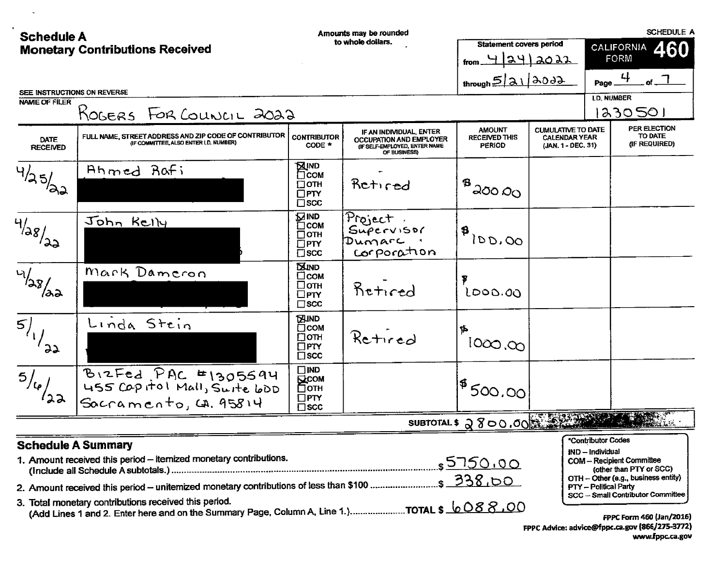| <b>Schedule A</b>       |                                                                                                                                                       |                                                                                  | Amounts may be rounded                                                                              |                                                        |                                                                         |                                                                 | <b>SCHEDULE A</b>                                                                                                                     |
|-------------------------|-------------------------------------------------------------------------------------------------------------------------------------------------------|----------------------------------------------------------------------------------|-----------------------------------------------------------------------------------------------------|--------------------------------------------------------|-------------------------------------------------------------------------|-----------------------------------------------------------------|---------------------------------------------------------------------------------------------------------------------------------------|
|                         | <b>Monetary Contributions Received</b>                                                                                                                |                                                                                  | to whole dollars.                                                                                   | <b>Statement covers period</b><br>from 4 24 2022       |                                                                         | 460<br><b>CALIFORNIA</b><br>FORM                                |                                                                                                                                       |
|                         |                                                                                                                                                       |                                                                                  |                                                                                                     | through $5 31 300$                                     |                                                                         |                                                                 | Page $\frac{4}{1}$                                                                                                                    |
| NAME OF FILER           | SEE INSTRUCTIONS ON REVERSE                                                                                                                           |                                                                                  |                                                                                                     |                                                        |                                                                         |                                                                 | <b>LD. NUMBER</b>                                                                                                                     |
|                         | ROGERS FOR COUNCIL 2022                                                                                                                               |                                                                                  |                                                                                                     |                                                        |                                                                         |                                                                 | 1230501                                                                                                                               |
| DATE<br><b>RECEIVED</b> | FULL NAME, STREET ADDRESS AND ZIP CODE OF CONTRIBUTOR<br>(IF COMMITTEE, ALSO ENTER I.D. NUMBER)                                                       | <b>CONTRIBUTOR</b><br>CODE *                                                     | IF AN INDIVIDUAL, ENTER<br>OCCUPATION AND EMPLOYER<br>(IF SELF-EMPLOYED, ENTER NAME<br>OF BUSINESS) | <b>AMOUNT</b><br><b>RECEIVED THIS</b><br><b>PERIOD</b> | <b>CUMULATIVE TO DATE</b><br><b>CALENDAR YEAR</b><br>(JAN. 1 - DEC. 31) |                                                                 | PER ELECTION<br>TO DATE<br>(IF REQUIRED)                                                                                              |
| $\sqrt[4]{3}5/20$       | Ahmed Rafi                                                                                                                                            | <b>A</b> IND<br>$\square$ COM<br>$\square$ OTH<br>$\square$ PTY<br>$\square$ scc | Retired                                                                                             | ్రింం ని                                               |                                                                         |                                                                 |                                                                                                                                       |
| $\sqrt{4/38}/32$        | John Kelly                                                                                                                                            | <b>ZIND</b><br>$\Box$ COM<br>$\Box$ OTH<br>$\Box$ PTY<br>$\square$ scc           | Project.<br>SuperSoc<br>Dumarc .<br>corporation                                                     | 18100.00                                               |                                                                         |                                                                 |                                                                                                                                       |
| 4/28/22                 | Mark Dameron                                                                                                                                          | <b>EXIND</b><br>$\Box$ <sub>COM</sub><br>□отн<br>$\Box$ PTY<br>$\square$ scc     | Retired                                                                                             | 1000.00                                                |                                                                         |                                                                 |                                                                                                                                       |
| $\frac{1}{2}$           | Linda Stein                                                                                                                                           | <b>EXIND</b><br>$\Box$ COM<br>Ωотн<br>$\square$ PTY<br>$\square$ scc             | Retired                                                                                             | \$<br>1000,000                                         |                                                                         |                                                                 |                                                                                                                                       |
| $\overline{5/6}/22$     | BIZFED PAC #1305694<br>$Socramento, G.95814$                                                                                                          | $\Box$ IND<br><b>ELCOM</b><br>□отн<br>$\square$ PTY<br>$\square$ scc             |                                                                                                     | $1^{\frac{6}{9}}$ 500.00'                              |                                                                         |                                                                 |                                                                                                                                       |
|                         |                                                                                                                                                       |                                                                                  |                                                                                                     | SUBTOTAL \$ 2800.00                                    |                                                                         |                                                                 |                                                                                                                                       |
|                         | <b>Schedule A Summary</b><br>1. Amount received this period - itemized monetary contributions.                                                        |                                                                                  |                                                                                                     |                                                        |                                                                         | *Contributor Codes<br>IND – Individual<br>PTY - Political Party | <b>COM-Recipient Committee</b><br>(other than PTY or SCC)<br>OTH - Other (e.g., business entity)<br>SCC - Small Contributor Committee |
|                         | 3. Total monetary contributions received this period.<br>(Add Lines 1 and 2. Enter here and on the Summary Page, Column A, Line 1.)TOTAL \$ $6088.00$ |                                                                                  |                                                                                                     |                                                        |                                                                         |                                                                 | FPPC Form 460 (Jan/2016)<br>EDDC Advice: advice@fppc.ca.gov $(866/275-3772)$                                                          |

 $\sim 10^{11}$  km

**FPPC Advice: advice@rpp** www.fppc.ca.gov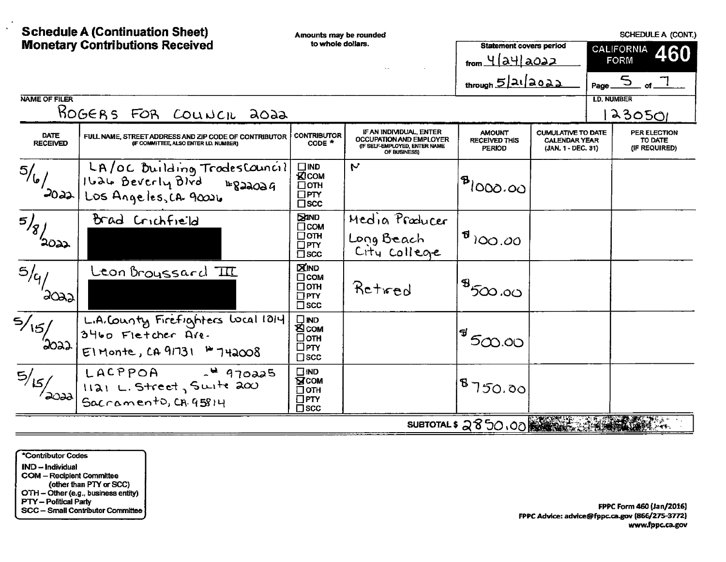|                                | <b>Schedule A (Continuation Sheet)</b><br><b>Monetary Contributions Received</b>                | Amounts may be rounded<br>to whole dollars.                               |                                                                                                     | <b>Statement covers period</b><br>from 4 24 2022 |                                                                         | SCHEDULE A (CONT.)<br><b>CALIFORNIA</b><br>460<br><b>FORM</b> |                                                                       |
|--------------------------------|-------------------------------------------------------------------------------------------------|---------------------------------------------------------------------------|-----------------------------------------------------------------------------------------------------|--------------------------------------------------|-------------------------------------------------------------------------|---------------------------------------------------------------|-----------------------------------------------------------------------|
| NAME OF FILER                  | ROGERS FOR COUNCIL 2022                                                                         |                                                                           |                                                                                                     | through $5/21/2022$                              |                                                                         |                                                               | Page $\overline{5}$ of $\overline{1}$<br><b>I.D. NUMBER</b><br>230501 |
| <b>DATE</b><br><b>RECEIVED</b> | FULL NAME, STREET ADDRESS AND ZIP CODE OF CONTRIBUTOR<br>(IF COMMITTEE, ALSO ENTER I.D. NUMBER) | <b>CONTRIBUTOR</b><br>$CODE$ <sup>*</sup>                                 | IF AN INDIVIDUAL, ENTER<br>OCCUPATION AND EMPLOYER<br>(IF SELF-EMPLOYED, ENTER NAME<br>OF BUSINESS) | <b>AMOUNT</b><br>RECEIVED THIS<br><b>PERIOD</b>  | <b>CUMULATIVE TO DATE</b><br><b>CALENDAR YEAR</b><br>(JAN. 1 - DEC. 31) |                                                               | <b>PER ELECTION</b><br>TO DATE<br>(IF REQUIRED)                       |
| 5/6/<br>2022                   | LA/OC Building TrodesCouncil<br>Ilale Beverly Blvd<br>$E$ 822024<br>Los Angeles, CA. 90026      | $\square$ IND<br>KICOM<br>$\square$ OTH<br>$\Box$ PTY<br>$\square$ scc    | $\mathbf{v}$                                                                                        | ി <sup>8</sup> 1000.00                           |                                                                         |                                                               |                                                                       |
| $\overline{5/8}$ 2022          | Brad Crichfield                                                                                 | <b>SAMD</b><br>$\Box$ COM<br>$\square$ OTH<br>$\Box$ PTY<br>$\square$ scc | Media Producer<br>Long Beach<br>City college                                                        | $\mathbf{F}^{(1)}$ 100.00                        |                                                                         |                                                               |                                                                       |
| 5/4<br>'2022'                  | Leon Broyssard III                                                                              | <b>XIND</b><br>$\Box$ COM<br>$\Box$ OTH<br>$\Box$ PTY<br>$\square$ scc    | Retwed                                                                                              | $1^{\circledR}$ 5လ.၀၀                            |                                                                         |                                                               |                                                                       |
| $\frac{2}{\sqrt{15}}$          | L.A.County Firefighters local 1014<br>3460 Fletcher Are.<br>$E1$ Monte, CA 91731 = 742008       | $\square$ IND<br><b>ECOM</b><br>□отн<br>$\Box$ PTY<br>$\square$ scc       |                                                                                                     | 500.00                                           |                                                                         |                                                               |                                                                       |
| $\frac{1}{5/5}$ $\frac{1}{20}$ | $LACPPOA$ $\rightarrow$ 470225<br>1121 L. Street, Suite 200<br>Sacramento, CA. 95814            | $\square$ IND<br><b>NCOW</b><br>∏отн<br>$\square$ PTY<br>$\square$ scc    |                                                                                                     | 18750.00                                         |                                                                         |                                                               |                                                                       |
|                                |                                                                                                 |                                                                           |                                                                                                     | SUBTOTAL \$ 2850,00                              |                                                                         |                                                               |                                                                       |

\*Contributor Codes IND - Individual COM - Recipient Committee<br>
(other than PTY or SCC)<br>
OTH - Other (e.g., business entity)<br>
PTY - Pofitical Party<br>
SCC - Small Contributor Committee

FPPC Form 460 (Jan/2016) FPPC Advice: advice@fppc.ca.gov (866/275-3772) www.fppc.ca.gov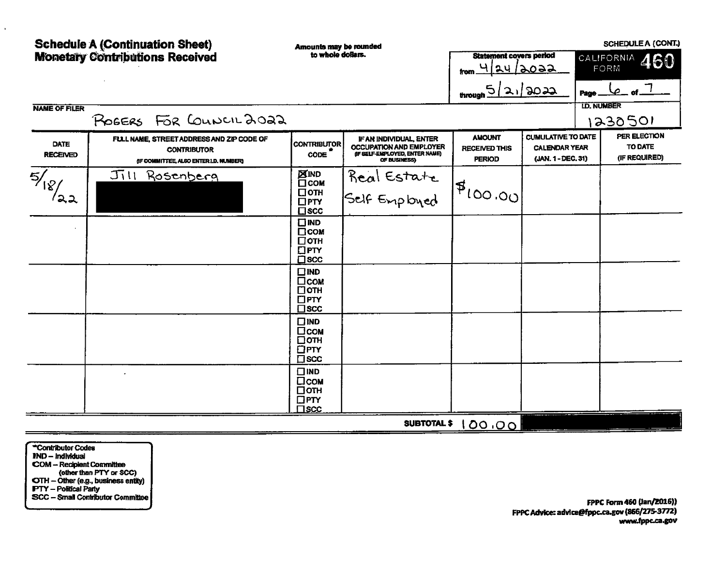| <b>Schedule A (Continuation Sheet)</b><br><b>Monetary Contributions Received</b> |                                                                                                           | Amounts may be rounded<br>to whole dollars.                           |                                                                                                             | <b>Statement covers period</b>                         |                                                                         |                    | <b>SCHEDULE A (CONT.)</b>                |
|----------------------------------------------------------------------------------|-----------------------------------------------------------------------------------------------------------|-----------------------------------------------------------------------|-------------------------------------------------------------------------------------------------------------|--------------------------------------------------------|-------------------------------------------------------------------------|--------------------|------------------------------------------|
|                                                                                  |                                                                                                           |                                                                       |                                                                                                             | <u>4 24 2022 </u><br>from.                             |                                                                         |                    | CALIFORNIA 460<br>FORM                   |
|                                                                                  |                                                                                                           |                                                                       |                                                                                                             | through                                                | 21/2022                                                                 | Page               | $4 - 5 - 1$                              |
| <b>NAME OF FILER</b>                                                             | POGERS FOR COUNCIL 2022                                                                                   |                                                                       |                                                                                                             |                                                        |                                                                         | <b>I.D. NUMBER</b> | 1230501                                  |
| <b>DATE</b><br><b>RECEIVED</b>                                                   | FULL NAME, STREET ADDRESS AND ZIP CODE OF<br><b>CONTRIBUTOR</b><br>(IF COMMITTEE, ALSO ENTER I,D. NUMBER) | <b>CONTRIBUTOR</b><br>CODE                                            | IF AN INDIVIDUAL, ENTER<br><b>OCCUPATION AND EMPLOYER</b><br>(IF SELF-EMPLOYED, ENTER NAME)<br>OF BUSINESS) | <b>AMOUNT</b><br><b>RECEIVED THIS</b><br><b>PERIOD</b> | <b>CUMULATIVE TO DATE</b><br><b>CALENDAR YEAR</b><br>(JAN. 1 - DEC. 31) |                    | PER ELECTION<br>TO DATE<br>(IF REQUIRED) |
| 5/18<br>೩೩                                                                       | Jill Rosenberg                                                                                            | <b>XIND</b><br>⊡сом<br>□отн<br>$\Box$ PTY<br>$\square$ scc            | Real Estate<br>Self Employed                                                                                | 14100.00                                               |                                                                         |                    |                                          |
|                                                                                  |                                                                                                           | $\Box$ IND<br>$\Box$ COM<br>□отн<br>$\Box$ PTY<br>$\square$ scc       |                                                                                                             |                                                        |                                                                         |                    |                                          |
|                                                                                  |                                                                                                           | $\square$ IND<br>$\Box$ COM<br>□отн<br>$\square$ PTY<br>$\square$ scc |                                                                                                             |                                                        |                                                                         |                    |                                          |
|                                                                                  |                                                                                                           | $\square$ IND<br>□сом<br>□отн<br>$\Box$ PTY<br>$\square$ scc          |                                                                                                             |                                                        |                                                                         |                    |                                          |
|                                                                                  |                                                                                                           | $\Box$ IND<br>Псом<br>⊔отн<br>$\Box$ PTY<br>$\square$ scc             |                                                                                                             |                                                        |                                                                         |                    |                                          |
|                                                                                  |                                                                                                           |                                                                       | <b>SUBTOTAL \$</b>                                                                                          | 100.00                                                 |                                                                         |                    |                                          |

\*Contributor Codes  $IND - Individual$ FRD - Franviolea<br>
COM - Recipient Committee<br>
(other than PTY or SCC)<br>
OTH - Other (e.g., business entity)<br>
FTY - Political Party<br>
SCC - Small Contributor Committee

 $\mathbf{A}$ 

FPPC Form 460 (Jan/2016)) FPPC Advice: advice@fppc.ca.gov (866/275-3772) www.fppc.ca.gov